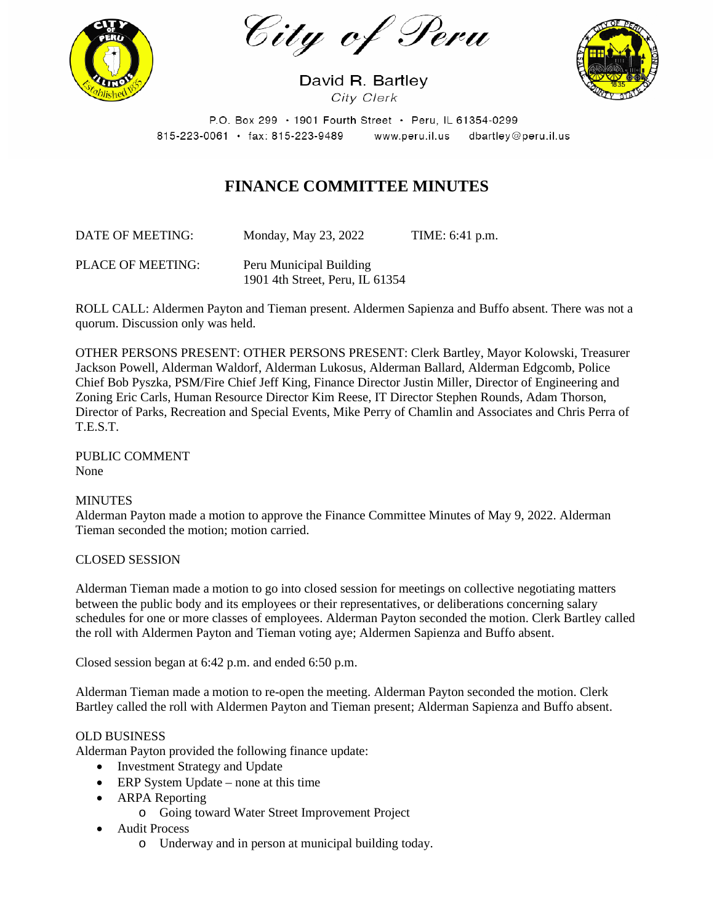City of Peru



David R. Bartley City Clerk



P.O. Box 299 · 1901 Fourth Street · Peru, IL 61354-0299 815-223-0061 · fax: 815-223-9489 www.peru.il.us dbartley@peru.il.us

# **FINANCE COMMITTEE MINUTES**

DATE OF MEETING: Monday, May 23, 2022 TIME: 6:41 p.m.

PLACE OF MEETING: Peru Municipal Building 1901 4th Street, Peru, IL 61354

ROLL CALL: Aldermen Payton and Tieman present. Aldermen Sapienza and Buffo absent. There was not a quorum. Discussion only was held.

OTHER PERSONS PRESENT: OTHER PERSONS PRESENT: Clerk Bartley, Mayor Kolowski, Treasurer Jackson Powell, Alderman Waldorf, Alderman Lukosus, Alderman Ballard, Alderman Edgcomb, Police Chief Bob Pyszka, PSM/Fire Chief Jeff King, Finance Director Justin Miller, Director of Engineering and Zoning Eric Carls, Human Resource Director Kim Reese, IT Director Stephen Rounds, Adam Thorson, Director of Parks, Recreation and Special Events, Mike Perry of Chamlin and Associates and Chris Perra of T.E.S.T.

PUBLIC COMMENT None

# MINUTES

Alderman Payton made a motion to approve the Finance Committee Minutes of May 9, 2022. Alderman Tieman seconded the motion; motion carried.

#### CLOSED SESSION

Alderman Tieman made a motion to go into closed session for meetings on collective negotiating matters between the public body and its employees or their representatives, or deliberations concerning salary schedules for one or more classes of employees. Alderman Payton seconded the motion. Clerk Bartley called the roll with Aldermen Payton and Tieman voting aye; Aldermen Sapienza and Buffo absent.

Closed session began at 6:42 p.m. and ended 6:50 p.m.

Alderman Tieman made a motion to re-open the meeting. Alderman Payton seconded the motion. Clerk Bartley called the roll with Aldermen Payton and Tieman present; Alderman Sapienza and Buffo absent.

#### OLD BUSINESS

Alderman Payton provided the following finance update:

- Investment Strategy and Update
- ERP System Update none at this time
- ARPA Reporting
	- o Going toward Water Street Improvement Project
- Audit Process
	- o Underway and in person at municipal building today.